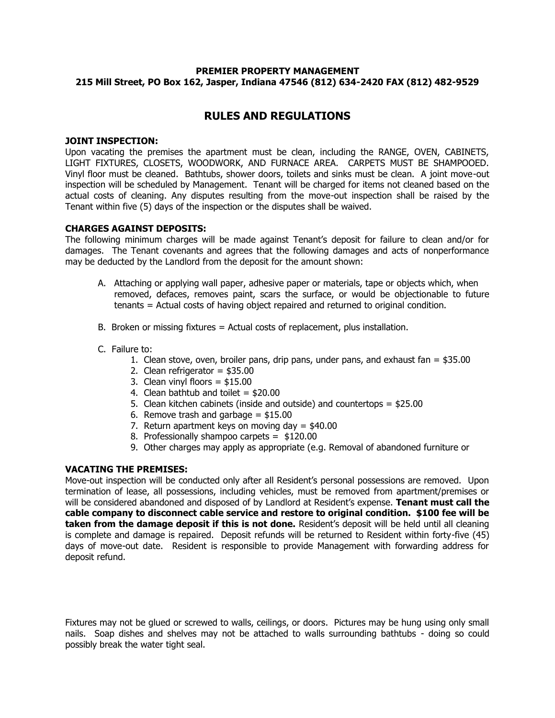# **PREMIER PROPERTY MANAGEMENT 215 Mill Street, PO Box 162, Jasper, Indiana 47546 (812) 634-2420 FAX (812) 482-9529**

# **RULES AND REGULATIONS**

## **JOINT INSPECTION:**

Upon vacating the premises the apartment must be clean, including the RANGE, OVEN, CABINETS, LIGHT FIXTURES, CLOSETS, WOODWORK, AND FURNACE AREA. CARPETS MUST BE SHAMPOOED. Vinyl floor must be cleaned. Bathtubs, shower doors, toilets and sinks must be clean. A joint move-out inspection will be scheduled by Management. Tenant will be charged for items not cleaned based on the actual costs of cleaning. Any disputes resulting from the move-out inspection shall be raised by the Tenant within five (5) days of the inspection or the disputes shall be waived.

#### **CHARGES AGAINST DEPOSITS:**

The following minimum charges will be made against Tenant's deposit for failure to clean and/or for damages. The Tenant covenants and agrees that the following damages and acts of nonperformance may be deducted by the Landlord from the deposit for the amount shown:

- A. Attaching or applying wall paper, adhesive paper or materials, tape or objects which, when removed, defaces, removes paint, scars the surface, or would be objectionable to future tenants = Actual costs of having object repaired and returned to original condition.
- B. Broken or missing fixtures = Actual costs of replacement, plus installation.
- C. Failure to:
	- 1. Clean stove, oven, broiler pans, drip pans, under pans, and exhaust fan  $=$  \$35.00
	- 2. Clean refrigerator = \$35.00
	- 3. Clean vinyl floors = \$15.00
	- 4. Clean bathtub and toilet  $= $20.00$
	- 5. Clean kitchen cabinets (inside and outside) and countertops = \$25.00
	- 6. Remove trash and garbage  $=$  \$15.00
	- 7. Return apartment keys on moving day = \$40.00
	- 8. Professionally shampoo carpets = \$120.00
	- 9. Other charges may apply as appropriate (e.g. Removal of abandoned furniture or

## **VACATING THE PREMISES:**

Move-out inspection will be conducted only after all Resident's personal possessions are removed. Upon termination of lease, all possessions, including vehicles, must be removed from apartment/premises or will be considered abandoned and disposed of by Landlord at Resident's expense. **Tenant must call the cable company to disconnect cable service and restore to original condition. \$100 fee will be taken from the damage deposit if this is not done.** Resident's deposit will be held until all cleaning is complete and damage is repaired. Deposit refunds will be returned to Resident within forty-five (45) days of move-out date. Resident is responsible to provide Management with forwarding address for deposit refund. **1**

Fixtures may not be glued or screwed to walls, ceilings, or doors. Pictures may be hung using only small nails. Soap dishes and shelves may not be attached to walls surrounding bathtubs - doing so could possibly break the water tight seal.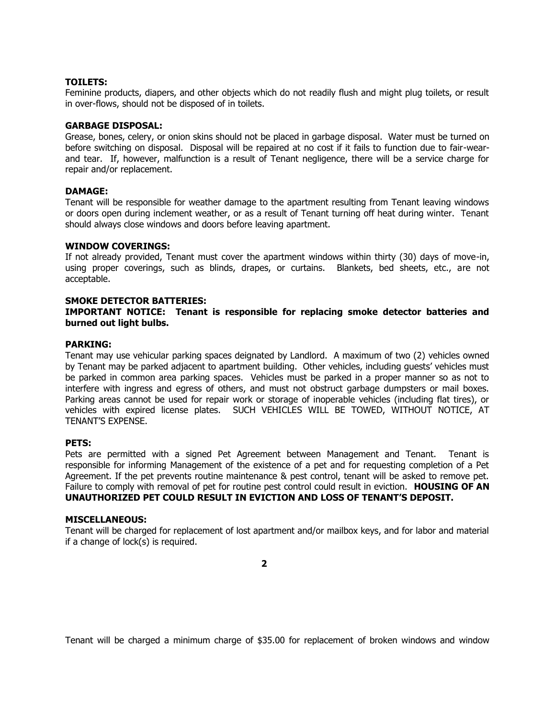## **TOILETS:**

Feminine products, diapers, and other objects which do not readily flush and might plug toilets, or result in over-flows, should not be disposed of in toilets.

#### **GARBAGE DISPOSAL:**

Grease, bones, celery, or onion skins should not be placed in garbage disposal. Water must be turned on before switching on disposal. Disposal will be repaired at no cost if it fails to function due to fair-wearand tear. If, however, malfunction is a result of Tenant negligence, there will be a service charge for repair and/or replacement.

#### **DAMAGE:**

Tenant will be responsible for weather damage to the apartment resulting from Tenant leaving windows or doors open during inclement weather, or as a result of Tenant turning off heat during winter. Tenant should always close windows and doors before leaving apartment.

## **WINDOW COVERINGS:**

If not already provided, Tenant must cover the apartment windows within thirty (30) days of move-in, using proper coverings, such as blinds, drapes, or curtains. Blankets, bed sheets, etc., are not acceptable.

#### **SMOKE DETECTOR BATTERIES:**

## **IMPORTANT NOTICE: Tenant is responsible for replacing smoke detector batteries and burned out light bulbs.**

#### **PARKING:**

Tenant may use vehicular parking spaces deignated by Landlord. A maximum of two (2) vehicles owned by Tenant may be parked adjacent to apartment building. Other vehicles, including guests' vehicles must be parked in common area parking spaces. Vehicles must be parked in a proper manner so as not to interfere with ingress and egress of others, and must not obstruct garbage dumpsters or mail boxes. Parking areas cannot be used for repair work or storage of inoperable vehicles (including flat tires), or vehicles with expired license plates. SUCH VEHICLES WILL BE TOWED, WITHOUT NOTICE, AT TENANT'S EXPENSE.

# **PETS:**

Pets are permitted with a signed Pet Agreement between Management and Tenant. Tenant is responsible for informing Management of the existence of a pet and for requesting completion of a Pet Agreement. If the pet prevents routine maintenance & pest control, tenant will be asked to remove pet. Failure to comply with removal of pet for routine pest control could result in eviction. **HOUSING OF AN UNAUTHORIZED PET COULD RESULT IN EVICTION AND LOSS OF TENANT'S DEPOSIT.**

#### **MISCELLANEOUS:**

Tenant will be charged for replacement of lost apartment and/or mailbox keys, and for labor and material if a change of lock(s) is required.

**2**

Tenant will be charged a minimum charge of \$35.00 for replacement of broken windows and window